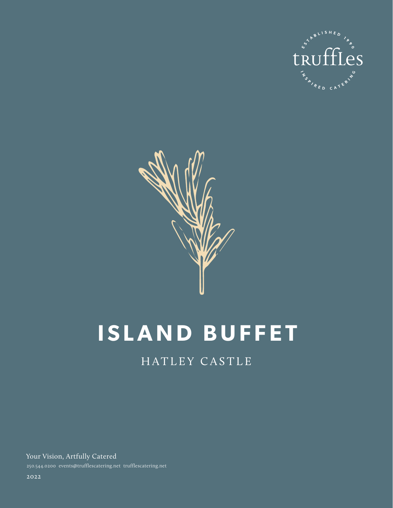



# **ISLAND BUFFET**

# HATLEY CASTLE

Your Vision, Artfully Catered 250.544.0200 events@trufflescatering.net trufflescatering.net

2022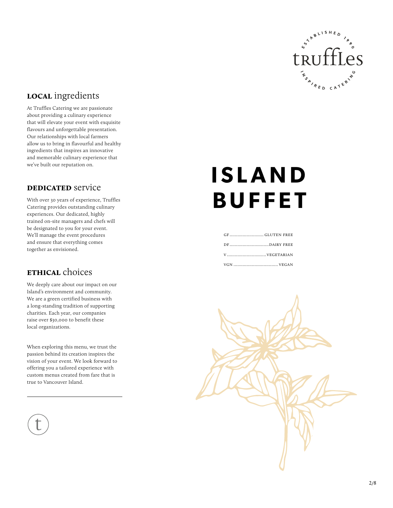

# **local** ingredients

At Truffles Catering we are passionate about providing a culinary experience that will elevate your event with exquisite flavours and unforgettable presentation. Our relationships with local farmers allow us to bring in flavourful and healthy ingredients that inspires an innovative and memorable culinary experience that we've built our reputation on.

#### **DEDICATED** service

With over 30 years of experience, Truffles Catering provides outstanding culinary experiences. Our dedicated, highly trained on-site managers and chefs will be designated to you for your event. We'll manage the event procedures and ensure that everything comes together as envisioned.

### **ETHICAL** choices

We deeply care about our impact on our Island's environment and community. We are a green certified business with a long-standing tradition of supporting charities. Each year, our companies raise over \$30,000 to benefit these local organizations.

When exploring this menu, we trust the passion behind its creation inspires the vision of your event. We look forward to offering you a tailored experience with custom menus created from fare that is true to Vancouver Island.

# **ISLAND BUFFET**

| GFGLUTEN FREE |
|---------------|
|               |
|               |
| VGN  VEGAN    |

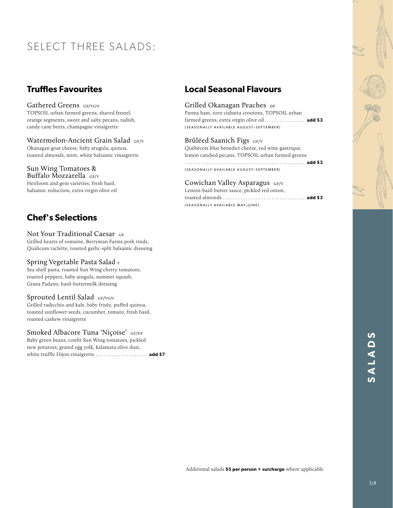# SELECT THREE SALADS:

# **Truffles Favourites**

Gathered Greens GF/VGN TOPSOIL urban farmed greens, shaved fennel, orange segments, sweet and salty pecans, radish, candy cane beets, champagne vinaigrette

Watermelon-Ancient Grain Salad GF/V Okanagan goat cheese, baby arugula, quinoa, toasted almonds, mint, white balsamic vinaigrette

#### Sun Wing Tomatoes &

Buffalo Mozzarella  $GF/V$ Heirloom and gem varieties, fresh basil, balsamic reduction, extra virgin olive oil

# **Chef's Selections**

Not Your Traditional Caesar GF Grilled hearts of romaine, Berryman Farms pork rinds, Qualicum raclette, roasted garlic-split balsamic dressing

#### Spring Vegetable Pasta Salad v

Sea shell pasta, roasted Sun Wing cherry tomatoes, roasted peppers, baby arugula, summer squash, Grana Padano, basil-buttermilk dressing

#### Sprouted Lentil Salad GF/VGN

Grilled radicchio and kale, baby frisée, puffed quinoa, toasted sunflower seeds, cucumber, tomato, fresh basil, roasted cashew vinaigrette

#### Smoked Albacore Tuna 'Niçoise' GF/DF

Baby green beans, confit Sun Wing tomatoes, pickled new potatoes, grated egg yolk, kalamata olive dust, white truffle Dijon vinaigrette . **add \$7**

### **Local Seasonal Flavours**

#### Grilled Okanagan Peaches DF Parma ham, torn ciabatta croutons, TOPSOIL urban farmed greens, extra virgin olive oil. . . . . . . . . . . . . . **add \$3** (SEASONALLY AVAILABLE AUGUST–SEPTEMBER)

Brûléed Saanich Figs GF/V Québécois blue benedict cheese, red wine gastrique, lemon candied pecans, TOPSOIL urban farmed greens . . . . . . . . . . . . . . . . . . . . . . . . . . . . . . . . . . . . . . . . . . . . . . **add \$3** 

(SEASONALLY AVAILABLE AUGUST–SEPTEMBER)

Cowichan Valley Asparagus GF/V Lemon-basil butter sauce, pickled red onion, toasted almonds . . **add \$3** (SEASONALLY AVAILABLE MAY–JUNE)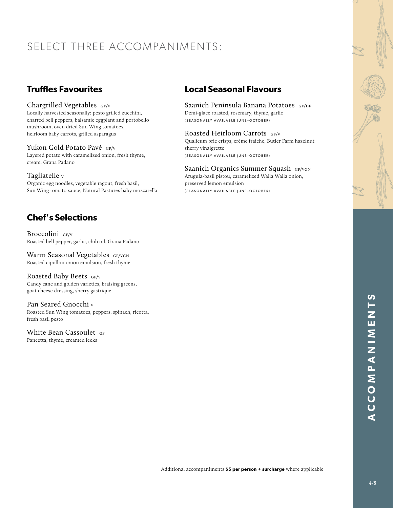# SELECT THREE ACCOMPANIMENTS:

# **Truffles Favourites**

#### Chargrilled Vegetables GF/V

Locally harvested seasonally: pesto grilled zucchini, charred bell peppers, balsamic eggplant and portobello mushroom, oven dried Sun Wing tomatoes, heirloom baby carrots, grilled asparagus

Yukon Gold Potato Pavé GF/V Layered potato with caramelized onion, fresh thyme, cream, Grana Padano

#### Tagliatelle v

Organic egg noodles, vegetable ragout, fresh basil, Sun Wing tomato sauce, Natural Pastures baby mozzarella

# **Chef's Selections**

Broccolini GF/V Roasted bell pepper, garlic, chili oil, Grana Padano

Warm Seasonal Vegetables GF/VGN Roasted cipollini onion emulsion, fresh thyme

Roasted Baby Beets GF/V Candy cane and golden varieties, braising greens, goat cheese dressing, sherry gastrique

Pan Seared Gnocchi v Roasted Sun Wing tomatoes, peppers, spinach, ricotta, fresh basil pesto

White Bean Cassoulet GF Pancetta, thyme, creamed leeks

# **Local Seasonal Flavours**

Saanich Peninsula Banana Potatoes GF/DF Demi-glace roasted, rosemary, thyme, garlic (SEASONALLY AVAILABLE JUNE–OCTOBER)

Roasted Heirloom Carrots GF/V

Qualicum brie crisps, crème fraîche, Butler Farm hazelnut sherry vinaigrette (SEASONALLY AVAILABLE JUNE–OCTOBER)

Saanich Organics Summer Squash GF/VGN Arugula-basil pistou, caramelized Walla Walla onion, preserved lemon emulsion (SEASONALLY AVAILABLE JUNE–OCTOBER)

Additional accompaniments **\$5 per person + surcharge** where applicable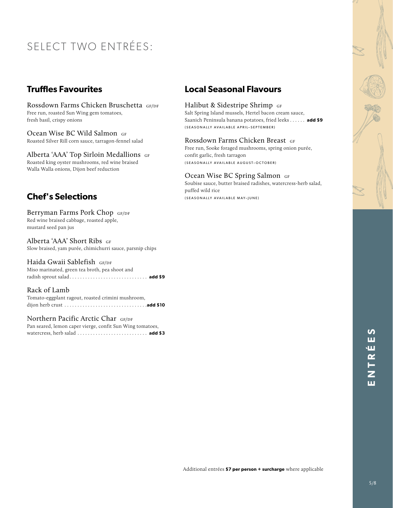# SELECT TWO ENTRÉES:

## **Truffles Favourites**

Rossdown Farms Chicken Bruschetta GF/DF Free run, roasted Sun Wing gem tomatoes, fresh basil, crispy onions

Ocean Wise BC Wild Salmon GF Roasted Silver Rill corn sauce, tarragon-fennel salad

Alberta 'AAA' Top Sirloin Medallions GF Roasted king oyster mushrooms, red wine braised Walla Walla onions, Dijon beef reduction

# **Chef's Selections**

Berryman Farms Pork Chop GF/DF Red wine braised cabbage, roasted apple, mustard seed pan jus

Alberta 'AAA' Short Ribs GF Slow braised, yam purée, chimichurri sauce, parsnip chips

Haida Gwaii Sablefish GF/DF Miso marinated, green tea broth, pea shoot and radish sprout salad . . **add \$9**

Rack of Lamb Tomato-eggplant ragout, roasted crimini mushroom, dijon herb crust . **add \$10**

Northern Pacific Arctic Char GF/DF

Pan seared, lemon caper vierge, confit Sun Wing tomatoes, watercress, herb salad . . **add \$3**

### **Local Seasonal Flavours**

#### Halibut & Sidestripe Shrimp GF

Salt Spring Island mussels, Hertel bacon cream sauce, Saanich Peninsula banana potatoes, fried leeks . . **add \$9** (SEASONALLY AVAILABLE APRIL–SEPTEMBER)

#### Rossdown Farms Chicken Breast GF

Free run, Sooke foraged mushrooms, spring onion purée, confit garlic, fresh tarragon (SEASONALLY AVAILABLE AUGUST–OCTOBER)

#### Ocean Wise BC Spring Salmon GF

Soubise sauce, butter braised radishes, watercress-herb salad, puffed wild rice (SEASONALLY AVAILABLE MAY–JUNE)

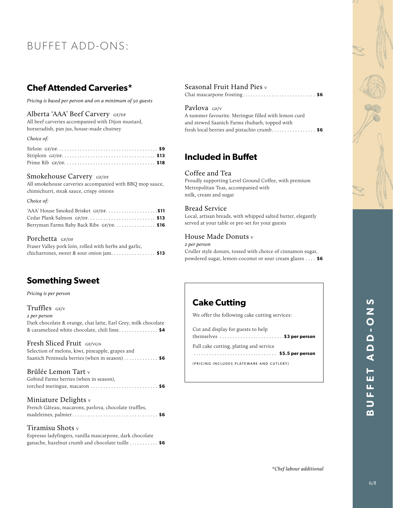# BUFFET ADD-ONS:

### **Chef Attended Carveries\***

*Pricing is based per person and on a minimum of 50 guests*

#### Alberta 'AAA' Beef Carvery GF/DF

All beef carveries accompanied with Dijon mustard, horseradish, pan jus, house-made chutney

#### *Choice of:*

#### Smokehouse Carvery GF/DF

All smokehouse carveries accompanied with BBQ mop sauce, chimichurri, steak sauce, crispy onions

#### *Choice of:*

| 'AAA' House Smoked Brisket GF/DF. \$11   |  |
|------------------------------------------|--|
| Cedar Plank Salmon GF/DF.  \$13          |  |
| Berryman Farms Baby Back Ribs GF/DF \$16 |  |

#### Porchetta GF/DF

| Fraser Valley pork loin, rolled with herbs and garlic, |  |
|--------------------------------------------------------|--|
| chicharrones, sweet & sour onion jam \$13              |  |

### **Something Sweet**

*Pricing is per person*

#### Truffles  $GF/V$

| 2 per person                                                   |  |
|----------------------------------------------------------------|--|
| Dark chocolate & orange, chai latte, Earl Grey, milk chocolate |  |
| & caramelized white chocolate, chili lime\$4                   |  |

#### Fresh Sliced Fruit GF/VGN

Selection of melons, kiwi, pineapple, grapes and Saanich Peninsula berries (when in season) . . **\$6**

#### Brûlée Lemon Tart v

| Gobind Farms berries (when in season), |  |
|----------------------------------------|--|
|                                        |  |

#### Miniature Delights v

| French Gâteau, macarons, pavlova, chocolate truffles, |  |  |  |  |
|-------------------------------------------------------|--|--|--|--|
|                                                       |  |  |  |  |

#### Tiramisu Shots v

Espresso ladyfingers, vanilla mascarpone, dark chocolate ganache, hazelnut crumb and chocolate tuille . . **\$6**

#### Seasonal Fruit Hand Pies v

Chai mascarpone frosting . . **\$6**

#### Pavlova GF/V

A summer favourite. Meringue filled with lemon curd and stewed Saanich Farms rhubarb, topped with fresh local berries and pistachio crumb.................. \$6

### **Included in Buffet**

#### Coffee and Tea

Proudly supporting Level Ground Coffee, with premium Metropolitan Teas, accompanied with milk, cream and sugar

#### Bread Service

Local, artisan breads, with whipped salted butter, elegantly served at your table or pre-set for your guests

#### House Made Donuts v

*2 per person* Cruller style donuts, tossed with choice of cinnamon sugar, powdered sugar, lemon-coconut or sour cream glazes . . **\$6**

## **Cake Cutting**

We offer the following cake cutting services:

| Cut and display for guests to help<br>themselves $\dots\dots\dots\dots\dots\dots\dots\dots$ . \$3 per person |
|--------------------------------------------------------------------------------------------------------------|
| Full cake cutting, plating and service                                                                       |
| (PRICING INCLUDES PLATEWARE AND CUTLERY)                                                                     |
|                                                                                                              |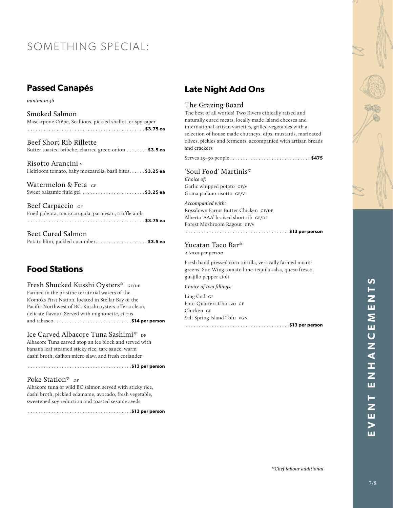# SOMETHING SPECIAL:

# **Passed Canapés**

*minimum 36*

| Mascarpone Crêpe, Scallions, pickled shallot, crispy caper |  |
|------------------------------------------------------------|--|
| Smoked Salmon                                              |  |

| Beef Short Rib Rillette                               |  |
|-------------------------------------------------------|--|
| Butter toasted brioche, charred green onion  \$3.5 ea |  |

Risotto Arancini v Heirloom tomato, baby mozzarella, basil bites...... \$3.25 ea

Watermelon & Feta GF Sweet balsamic fluid gel . **\$3.25 ea**

Beef Carpaccio GF Fried polenta, micro arugula, parmesan, truffle aioli . . . . . . . . . . . . . . . . . . . . . . . . . . . . . . . . . . . . . . . . . . . . . **\$3.75 ea**

| Beet Cured Salmon                      |  |
|----------------------------------------|--|
| Potato blini, pickled cucumber\$3.5 ea |  |

# **Food Stations**

Fresh Shucked Kusshi Oysters\* GF/DF Farmed in the pristine territorial waters of the K'omoks First Nation, located in Stellar Bay of the Pacific Northwest of BC. Kusshi oysters offer a clean, delicate flavour. Served with mignonette, citrus and tabasco . **\$14 per person** 

Ice Carved Albacore Tuna Sashimi\* DF Albacore Tuna carved atop an ice block and served with banana leaf steamed sticky rice, tare sauce, warm dashi broth, daikon micro slaw, and fresh coriander

#### Poke Station\* DF

Albacore tuna or wild BC salmon served with sticky rice, dashi broth, pickled edamame, avocado, fresh vegetable, sweetened soy reduction and toasted sesame seeds

. . . . . . . . . . . . . . . . . . . . . . . . . . . . . . . . . . . . . . . .**\$13 per person**

. . . . . . . . . . . . . . . . . . . . . . . . . . . . . . . . . . . . . . . .**\$13 per person** 

# **Late Night Add Ons**

#### The Grazing Board

The best of all worlds! Two Rivers ethically raised and naturally cured meats, locally made Island cheeses and international artisan varieties, grilled vegetables with a selection of house made chutneys, dips, mustards, marinated olives, pickles and ferments, accompanied with artisan breads and crackers

Serves 25–30 people . . **\$475** 

'Soul Food' Martinis\* *Choice of:* Garlic whipped potato gf/v Grana padano risotto gf/v

*Accompanied with:* Rossdown Farms Butter Chicken GF/DF Alberta 'AAA' braised short rib GF/DF Forest Mushroom Ragout GF/V

#### Yucatan Taco Bar\* *2 tacos per person*

Fresh hand pressed corn tortilla, vertically farmed microgreens, Sun Wing tomato lime-tequila salsa, queso fresco, guajillo pepper aioli

. . . . . . . . . . . . . . . . . . . . . . . . . . . . . . . . . . . . . . . .**\$13 per person** 

*Choice of two fillings:*

Ling Cod GF Four Quarters Chorizo GF Chicken GF Salt Spring Island Tofu vgn . . . . . . . . . . . . . . . . . . . . . . . . . . . . . . . . . . . . . . . .**\$13 per person**

*\*Chef labour additional*